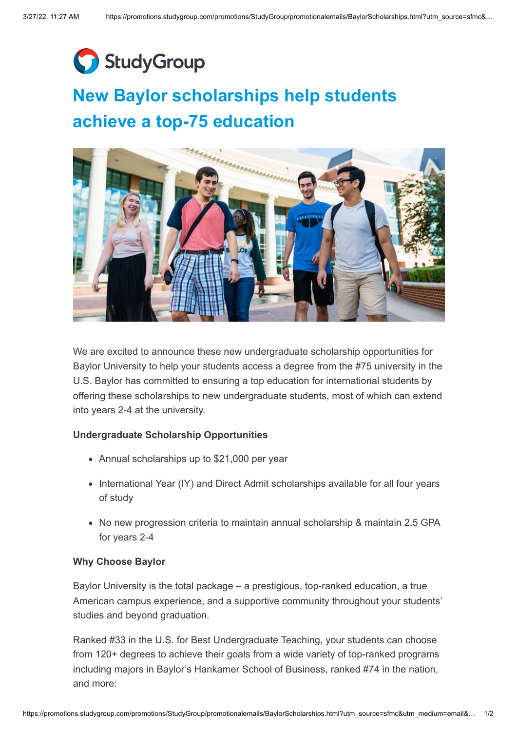

## **New Baylor scholarships help students achieve a top-75 education**



We are excited to announce these new undergraduate scholarship opportunities for Baylor University to help your students access a degree from the #75 university in the U.S. Baylor has committed to ensuring a top education for international students by offering these scholarships to new undergraduate students, most of which can extend into years 2-4 at the university.

## **Undergraduate Scholarship Opportunities**

- Annual scholarships up to \$21,000 per year
- International Year (IY) and Direct Admit scholarships available for all four years of study
- No new progression criteria to maintain annual scholarship & maintain 2.5 GPA for years 2-4

## **Why Choose Baylor**

Baylor University is the total package – a prestigious, top-ranked education, a true American campus experience, and a supportive community throughout your students' studies and beyond graduation.

Ranked #33 in the U.S. for Best Undergraduate Teaching, your students can choose from 120+ degrees to achieve their goals from a wide variety of top-ranked programs including majors in Baylor's Hankamer School of Business, ranked #74 in the nation, and more: